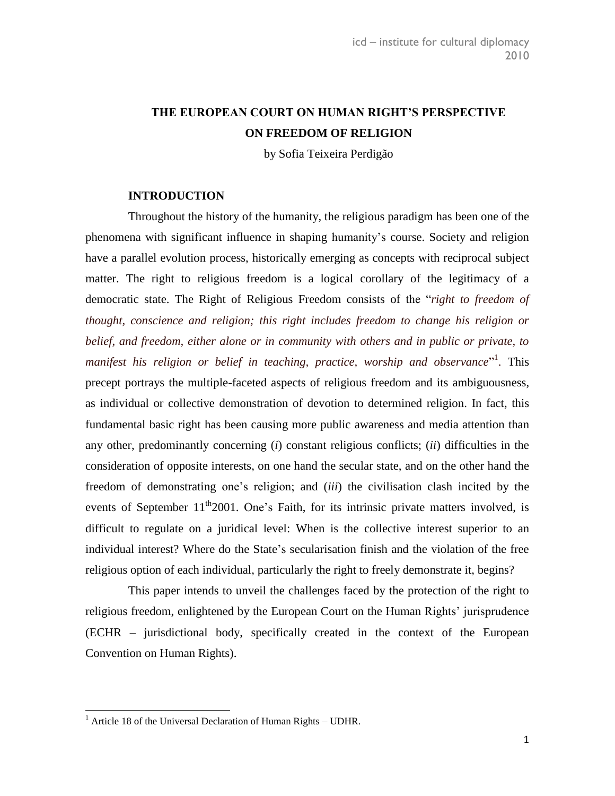## **THE EUROPEAN COURT ON HUMAN RIGHT'S PERSPECTIVE ON FREEDOM OF RELIGION**

by Sofia Teixeira Perdigão

### **INTRODUCTION**

Throughout the history of the humanity, the religious paradigm has been one of the phenomena with significant influence in shaping humanity's course. Society and religion have a parallel evolution process, historically emerging as concepts with reciprocal subject matter. The right to religious freedom is a logical corollary of the legitimacy of a democratic state. The Right of Religious Freedom consists of the "*right to freedom of thought, conscience and religion; this right includes freedom to change his religion or belief, and freedom, either alone or in community with others and in public or private, to*  manifest his religion or belief in teaching, practice, worship and observance<sup>"1</sup>. This precept portrays the multiple-faceted aspects of religious freedom and its ambiguousness, as individual or collective demonstration of devotion to determined religion. In fact, this fundamental basic right has been causing more public awareness and media attention than any other, predominantly concerning (*i*) constant religious conflicts; (*ii*) difficulties in the consideration of opposite interests, on one hand the secular state, and on the other hand the freedom of demonstrating one's religion; and (*iii*) the civilisation clash incited by the events of September  $11^{th}2001$ . One's Faith, for its intrinsic private matters involved, is difficult to regulate on a juridical level: When is the collective interest superior to an individual interest? Where do the State's secularisation finish and the violation of the free religious option of each individual, particularly the right to freely demonstrate it, begins?

This paper intends to unveil the challenges faced by the protection of the right to religious freedom, enlightened by the European Court on the Human Rights' jurisprudence (ECHR – jurisdictional body, specifically created in the context of the European Convention on Human Rights).

 $1$  Article 18 of the Universal Declaration of Human Rights – UDHR.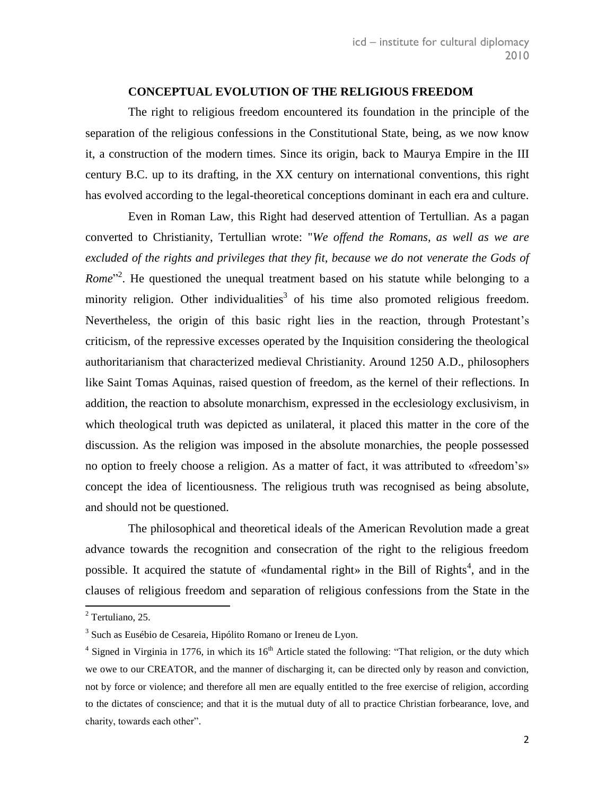### **CONCEPTUAL EVOLUTION OF THE RELIGIOUS FREEDOM**

The right to religious freedom encountered its foundation in the principle of the separation of the religious confessions in the Constitutional State, being, as we now know it, a construction of the modern times. Since its origin, back to Maurya Empire in the III century B.C. up to its drafting, in the XX century on international conventions, this right has evolved according to the legal-theoretical conceptions dominant in each era and culture.

Even in Roman Law, this Right had deserved attention of Tertullian. As a pagan converted to Christianity, Tertullian wrote: "*We offend the Romans, as well as we are excluded of the rights and privileges that they fit, because we do not venerate the Gods of Rome*<sup>"2</sup>. He questioned the unequal treatment based on his statute while belonging to a minority religion. Other individualities<sup>3</sup> of his time also promoted religious freedom. Nevertheless, the origin of this basic right lies in the reaction, through Protestant's criticism, of the repressive excesses operated by the Inquisition considering the theological authoritarianism that characterized medieval Christianity. Around 1250 A.D., philosophers like Saint Tomas Aquinas, raised question of freedom, as the kernel of their reflections. In addition, the reaction to absolute monarchism, expressed in the ecclesiology exclusivism, in which theological truth was depicted as unilateral, it placed this matter in the core of the discussion. As the religion was imposed in the absolute monarchies, the people possessed no option to freely choose a religion. As a matter of fact, it was attributed to «freedom's» concept the idea of licentiousness. The religious truth was recognised as being absolute, and should not be questioned.

The philosophical and theoretical ideals of the American Revolution made a great advance towards the recognition and consecration of the right to the religious freedom possible. It acquired the statute of «fundamental right» in the Bill of Rights<sup>4</sup>, and in the clauses of religious freedom and separation of religious confessions from the State in the

 $2$  Tertuliano, 25.

<sup>&</sup>lt;sup>3</sup> Such as [Eusébio de Cesareia,](http://pt.wikipedia.org/wiki/Eus%C3%A9bio_de_Cesareia) [Hipólito Romano](http://pt.wikipedia.org/w/index.php?title=Hip%C3%B3lito_Romano&action=edit&redlink=1) or Ireneu de Lyon.

<sup>&</sup>lt;sup>4</sup> Signed in Virginia in 1776, in which its  $16<sup>th</sup>$  Article stated the following: "That religion, or the duty which we owe to our CREATOR, and the manner of discharging it, can be directed only by reason and conviction, not by force or violence; and therefore all men are equally entitled to the free exercise of religion, according to the dictates of conscience; and that it is the mutual duty of all to practice Christian forbearance, love, and charity, towards each other".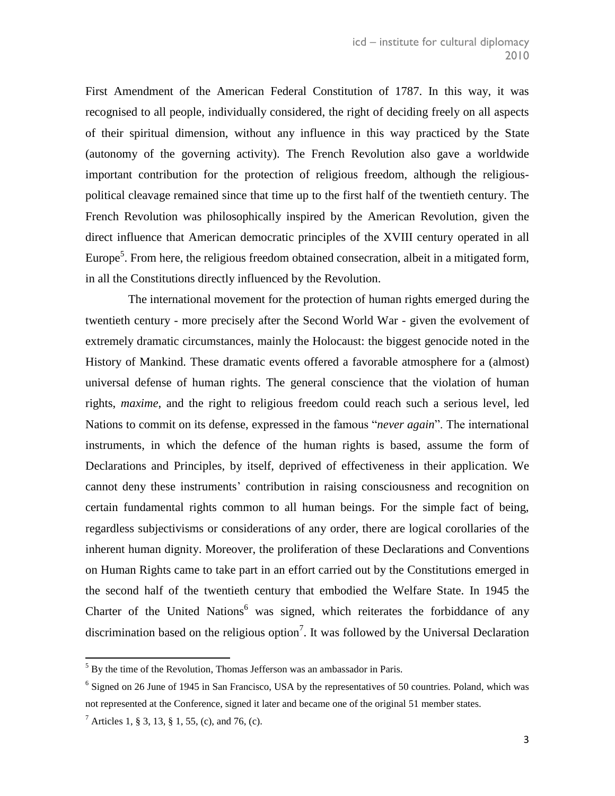First Amendment of the American Federal Constitution of 1787. In this way, it was recognised to all people, individually considered, the right of deciding freely on all aspects of their spiritual dimension, without any influence in this way practiced by the State (autonomy of the governing activity). The French Revolution also gave a worldwide important contribution for the protection of religious freedom, although the religiouspolitical cleavage remained since that time up to the first half of the twentieth century. The French Revolution was philosophically inspired by the American Revolution, given the direct influence that American democratic principles of the XVIII century operated in all Europe<sup>5</sup>. From here, the religious freedom obtained consecration, albeit in a mitigated form, in all the Constitutions directly influenced by the Revolution.

The international movement for the protection of human rights emerged during the twentieth century - more precisely after the Second World War - given the evolvement of extremely dramatic circumstances, mainly the Holocaust: the biggest genocide noted in the History of Mankind. These dramatic events offered a favorable atmosphere for a (almost) universal defense of human rights. The general conscience that the violation of human rights, *maxime*, and the right to religious freedom could reach such a serious level, led Nations to commit on its defense, expressed in the famous "*never again*". The international instruments, in which the defence of the human rights is based, assume the form of Declarations and Principles, by itself, deprived of effectiveness in their application. We cannot deny these instruments' contribution in raising consciousness and recognition on certain fundamental rights common to all human beings. For the simple fact of being, regardless subjectivisms or considerations of any order, there are logical corollaries of the inherent human dignity. Moreover, the proliferation of these Declarations and Conventions on Human Rights came to take part in an effort carried out by the Constitutions emerged in the second half of the twentieth century that embodied the Welfare State. In 1945 the Charter of the United Nations<sup>6</sup> was signed, which reiterates the forbiddance of any discrimination based on the religious option<sup>7</sup>. It was followed by the Universal Declaration

 $5$  By the time of the Revolution, Thomas Jefferson was an ambassador in Paris.

<sup>&</sup>lt;sup>6</sup> Signed on 26 June of 1945 in San Francisco, USA by the representatives of 50 countries. Poland, which was not represented at the Conference, signed it later and became one of the original 51 member states.

<sup>&</sup>lt;sup>7</sup> Articles 1, § 3, 13, § 1, 55, (c), and 76, (c).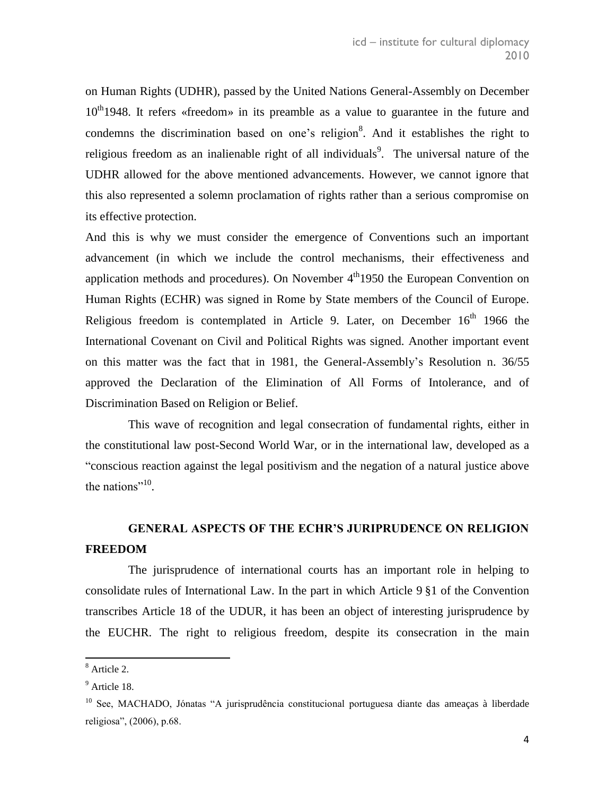on Human Rights (UDHR), passed by the United Nations General-Assembly on December 10<sup>th</sup>1948. It refers «freedom» in its preamble as a value to guarantee in the future and condemns the discrimination based on one's religion<sup>8</sup>. And it establishes the right to religious freedom as an inalienable right of all individuals<sup>9</sup>. The universal nature of the UDHR allowed for the above mentioned advancements. However, we cannot ignore that this also represented a solemn proclamation of rights rather than a serious compromise on its effective protection.

And this is why we must consider the emergence of Conventions such an important advancement (in which we include the control mechanisms, their effectiveness and application methods and procedures). On November  $4<sup>th</sup>1950$  the European Convention on Human Rights (ECHR) was signed in Rome by State members of the Council of Europe. Religious freedom is contemplated in Article 9. Later, on December  $16<sup>th</sup>$  1966 the International Covenant on Civil and Political Rights was signed. Another important event on this matter was the fact that in 1981, the General-Assembly's Resolution n. 36/55 approved the Declaration of the Elimination of All Forms of Intolerance, and of Discrimination Based on Religion or Belief.

This wave of recognition and legal consecration of fundamental rights, either in the constitutional law post-Second World War, or in the international law, developed as a "conscious reaction against the legal positivism and the negation of a natural justice above the nations"<sup>10</sup>.

## **GENERAL ASPECTS OF THE ECHR'S JURIPRUDENCE ON RELIGION FREEDOM**

The jurisprudence of international courts has an important role in helping to consolidate rules of International Law. In the part in which Article 9 §1 of the Convention transcribes Article 18 of the UDUR, it has been an object of interesting jurisprudence by the EUCHR. The right to religious freedom, despite its consecration in the main

<sup>8</sup> Article 2.

<sup>&</sup>lt;sup>9</sup> Article 18.

<sup>&</sup>lt;sup>10</sup> See, MACHADO, Jónatas "A jurisprudência constitucional portuguesa diante das ameaças à liberdade religiosa", (2006), p.68.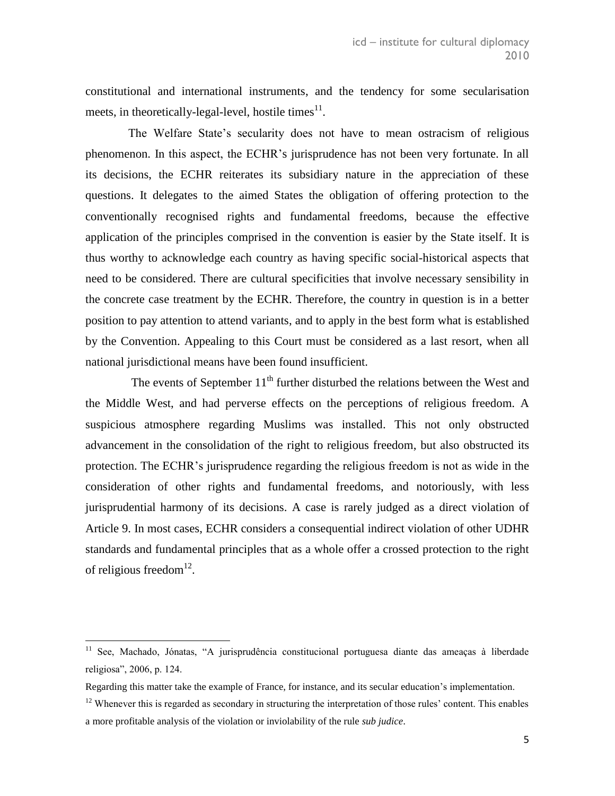constitutional and international instruments, and the tendency for some secularisation meets, in theoretically-legal-level, hostile times $^{11}$ .

The Welfare State's secularity does not have to mean ostracism of religious phenomenon. In this aspect, the ECHR's jurisprudence has not been very fortunate. In all its decisions, the ECHR reiterates its subsidiary nature in the appreciation of these questions. It delegates to the aimed States the obligation of offering protection to the conventionally recognised rights and fundamental freedoms, because the effective application of the principles comprised in the convention is easier by the State itself. It is thus worthy to acknowledge each country as having specific social-historical aspects that need to be considered. There are cultural specificities that involve necessary sensibility in the concrete case treatment by the ECHR. Therefore, the country in question is in a better position to pay attention to attend variants, and to apply in the best form what is established by the Convention. Appealing to this Court must be considered as a last resort, when all national jurisdictional means have been found insufficient.

The events of September  $11<sup>th</sup>$  further disturbed the relations between the West and the Middle West, and had perverse effects on the perceptions of religious freedom. A suspicious atmosphere regarding Muslims was installed. This not only obstructed advancement in the consolidation of the right to religious freedom, but also obstructed its protection. The ECHR's jurisprudence regarding the religious freedom is not as wide in the consideration of other rights and fundamental freedoms, and notoriously, with less jurisprudential harmony of its decisions. A case is rarely judged as a direct violation of Article 9. In most cases, ECHR considers a consequential indirect violation of other UDHR standards and fundamental principles that as a whole offer a crossed protection to the right of religious freedom $^{12}$ .

<sup>&</sup>lt;sup>11</sup> See, Machado, Jónatas, "A jurisprudência constitucional portuguesa diante das ameaças à liberdade religiosa", 2006, p. 124.

Regarding this matter take the example of France, for instance, and its secular education's implementation.

 $12$  Whenever this is regarded as secondary in structuring the interpretation of those rules' content. This enables a more profitable analysis of the violation or inviolability of the rule *sub judice*.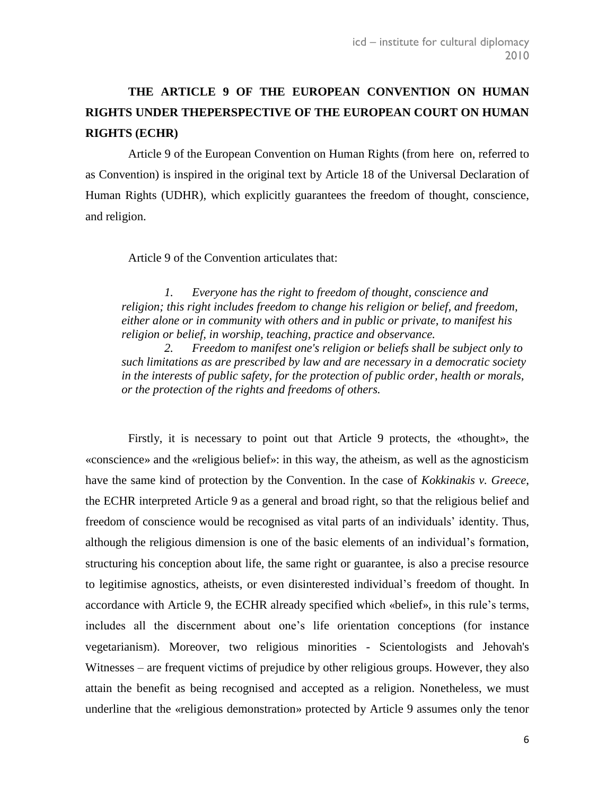# **THE ARTICLE 9 OF THE EUROPEAN CONVENTION ON HUMAN RIGHTS UNDER THEPERSPECTIVE OF THE EUROPEAN COURT ON HUMAN RIGHTS (ECHR)**

Article 9 of the European Convention on Human Rights (from here on, referred to as Convention) is inspired in the original text by Article 18 of the Universal Declaration of Human Rights (UDHR), which explicitly guarantees the freedom of thought, conscience, and religion.

Article 9 of the Convention articulates that:

*1. Everyone has the right to freedom of thought, conscience and religion; this right includes freedom to change his religion or belief, and freedom, either alone or in community with others and in public or private, to manifest his religion or belief, in worship, teaching, practice and observance.* 

*2. Freedom to manifest one's religion or beliefs shall be subject only to such limitations as are prescribed by law and are necessary in a democratic society in the interests of public safety, for the protection of public order, health or morals, or the protection of the rights and freedoms of others.*

Firstly, it is necessary to point out that Article 9 protects, the «thought», the «conscience» and the «religious belief»: in this way, the atheism, as well as the agnosticism have the same kind of protection by the Convention. In the case of *Kokkinakis v. Greece*, the ECHR interpreted Article 9 as a general and broad right, so that the religious belief and freedom of conscience would be recognised as vital parts of an individuals' identity. Thus, although the religious dimension is one of the basic elements of an individual's formation, structuring his conception about life, the same right or guarantee, is also a precise resource to legitimise agnostics, atheists, or even disinterested individual's freedom of thought. In accordance with Article 9, the ECHR already specified which «belief», in this rule's terms, includes all the discernment about one's life orientation conceptions (for instance vegetarianism). Moreover, two religious minorities - Scientologists and Jehovah's Witnesses – are frequent victims of prejudice by other religious groups. However, they also attain the benefit as being recognised and accepted as a religion. Nonetheless, we must underline that the «religious demonstration» protected by Article 9 assumes only the tenor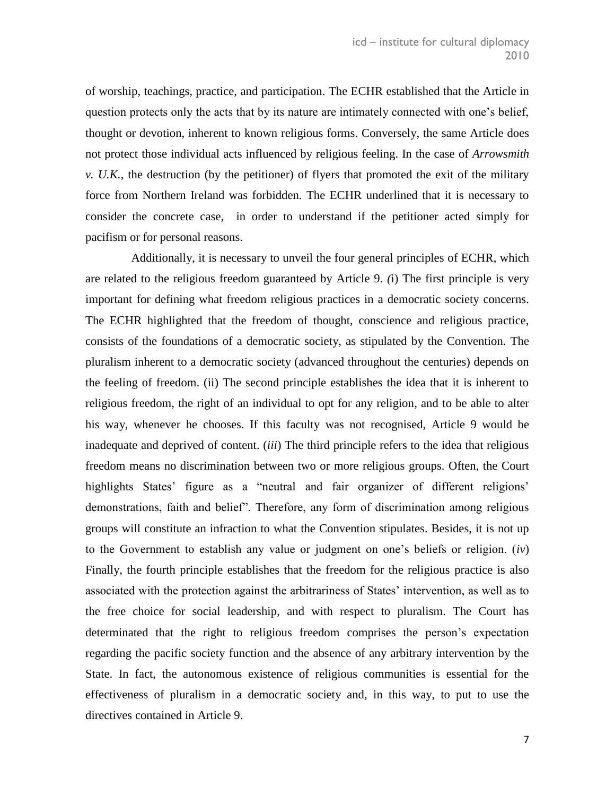of worship, teachings, practice, and participation. The ECHR established that the Article in question protects only the acts that by its nature are intimately connected with one's belief, thought or devotion, inherent to known religious forms. Conversely, the same Article does not protect those individual acts influenced by religious feeling. In the case of *Arrowsmith v. U.K.*, the destruction (by the petitioner) of flyers that promoted the exit of the military force from Northern Ireland was forbidden. The ECHR underlined that it is necessary to consider the concrete case, in order to understand if the petitioner acted simply for pacifism or for personal reasons.

Additionally, it is necessary to unveil the four general principles of ECHR, which are related to the religious freedom guaranteed by Article 9. *(*i) The first principle is very important for defining what freedom religious practices in a democratic society concerns. The ECHR highlighted that the freedom of thought, conscience and religious practice, consists of the foundations of a democratic society, as stipulated by the Convention. The pluralism inherent to a democratic society (advanced throughout the centuries) depends on the feeling of freedom. (ii) The second principle establishes the idea that it is inherent to religious freedom, the right of an individual to opt for any religion, and to be able to alter his way, whenever he chooses. If this faculty was not recognised, Article 9 would be inadequate and deprived of content. (*iii*) The third principle refers to the idea that religious freedom means no discrimination between two or more religious groups. Often, the Court highlights States' figure as a "neutral and fair organizer of different religions" demonstrations, faith and belief". Therefore, any form of discrimination among religious groups will constitute an infraction to what the Convention stipulates. Besides, it is not up to the Government to establish any value or judgment on one's beliefs or religion. (*iv*) Finally, the fourth principle establishes that the freedom for the religious practice is also associated with the protection against the arbitrariness of States' intervention, as well as to the free choice for social leadership, and with respect to pluralism. The Court has determinated that the right to religious freedom comprises the person's expectation regarding the pacific society function and the absence of any arbitrary intervention by the State. In fact, the autonomous existence of religious communities is essential for the effectiveness of pluralism in a democratic society and, in this way, to put to use the directives contained in Article 9.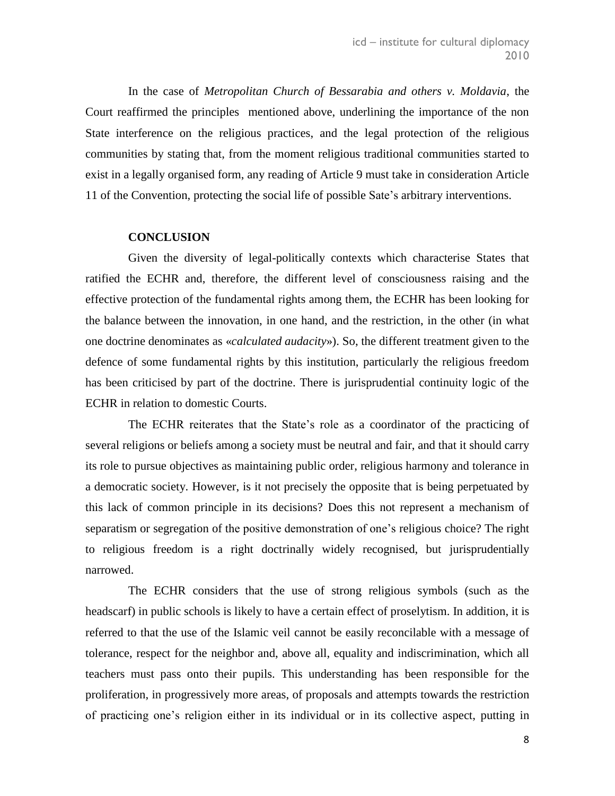In the case of *Metropolitan Church of Bessarabia and others v. Moldavia*, the Court reaffirmed the principles mentioned above, underlining the importance of the non State interference on the religious practices, and the legal protection of the religious communities by stating that, from the moment religious traditional communities started to exist in a legally organised form, any reading of Article 9 must take in consideration Article 11 of the Convention, protecting the social life of possible Sate's arbitrary interventions.

### **CONCLUSION**

Given the diversity of legal-politically contexts which characterise States that ratified the ECHR and, therefore, the different level of consciousness raising and the effective protection of the fundamental rights among them, the ECHR has been looking for the balance between the innovation, in one hand, and the restriction, in the other (in what one doctrine denominates as «*calculated audacity*»). So, the different treatment given to the defence of some fundamental rights by this institution, particularly the religious freedom has been criticised by part of the doctrine. There is jurisprudential continuity logic of the ECHR in relation to domestic Courts.

The ECHR reiterates that the State's role as a coordinator of the practicing of several religions or beliefs among a society must be neutral and fair, and that it should carry its role to pursue objectives as maintaining public order, religious harmony and tolerance in a democratic society. However, is it not precisely the opposite that is being perpetuated by this lack of common principle in its decisions? Does this not represent a mechanism of separatism or segregation of the positive demonstration of one's religious choice? The right to religious freedom is a right doctrinally widely recognised, but jurisprudentially narrowed.

The ECHR considers that the use of strong religious symbols (such as the headscarf) in public schools is likely to have a certain effect of proselytism. In addition, it is referred to that the use of the Islamic veil cannot be easily reconcilable with a message of tolerance, respect for the neighbor and, above all, equality and indiscrimination, which all teachers must pass onto their pupils. This understanding has been responsible for the proliferation, in progressively more areas, of proposals and attempts towards the restriction of practicing one's religion either in its individual or in its collective aspect, putting in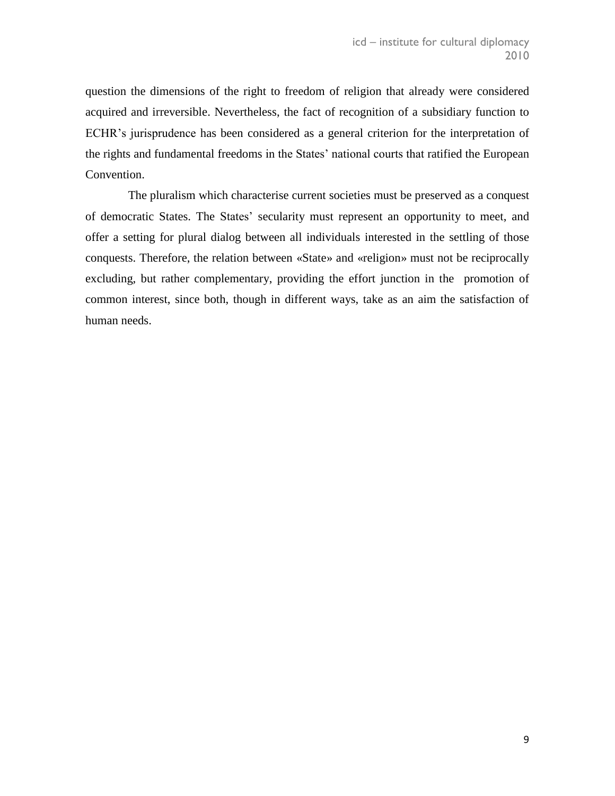question the dimensions of the right to freedom of religion that already were considered acquired and irreversible. Nevertheless, the fact of recognition of a subsidiary function to ECHR's jurisprudence has been considered as a general criterion for the interpretation of the rights and fundamental freedoms in the States' national courts that ratified the European Convention.

The pluralism which characterise current societies must be preserved as a conquest of democratic States. The States' secularity must represent an opportunity to meet, and offer a setting for plural dialog between all individuals interested in the settling of those conquests. Therefore, the relation between «State» and «religion» must not be reciprocally excluding, but rather complementary, providing the effort junction in the promotion of common interest, since both, though in different ways, take as an aim the satisfaction of human needs.